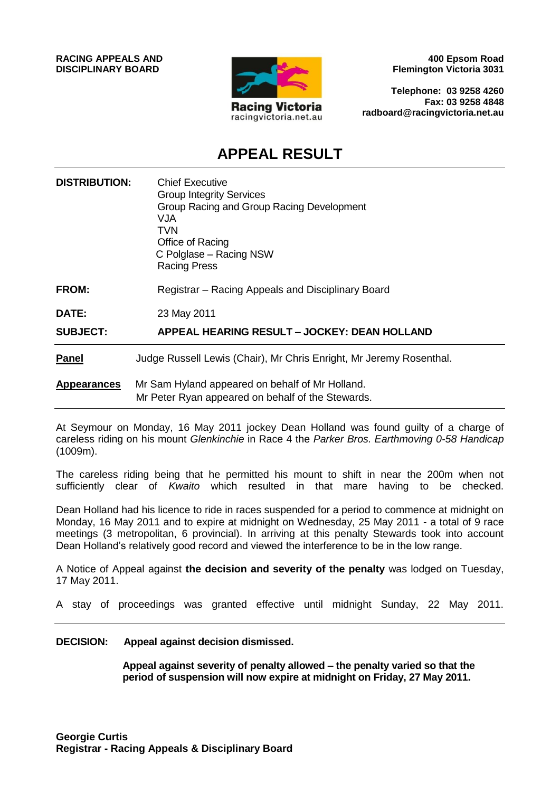

**400 Epsom Road Flemington Victoria 3031**

**Telephone: 03 9258 4260 Fax: 03 9258 4848 radboard@racingvictoria.net.au**

# **APPEAL RESULT**

| <b>DISTRIBUTION:</b> | <b>Chief Executive</b><br><b>Group Integrity Services</b><br>Group Racing and Group Racing Development<br>VJA.<br>TVN<br>Office of Racing<br>C Polglase - Racing NSW<br><b>Racing Press</b> |
|----------------------|---------------------------------------------------------------------------------------------------------------------------------------------------------------------------------------------|
| <b>FROM:</b>         | Registrar – Racing Appeals and Disciplinary Board                                                                                                                                           |
| DATE:                | 23 May 2011                                                                                                                                                                                 |
| <b>SUBJECT:</b>      | APPEAL HEARING RESULT - JOCKEY: DEAN HOLLAND                                                                                                                                                |
| <b>Panel</b>         | Judge Russell Lewis (Chair), Mr Chris Enright, Mr Jeremy Rosenthal.                                                                                                                         |
| <b>Appearances</b>   | Mr Sam Hyland appeared on behalf of Mr Holland.<br>Mr Peter Ryan appeared on behalf of the Stewards.                                                                                        |

At Seymour on Monday, 16 May 2011 jockey Dean Holland was found guilty of a charge of careless riding on his mount *Glenkinchie* in Race 4 the *Parker Bros. Earthmoving 0-58 Handicap*  (1009m).

The careless riding being that he permitted his mount to shift in near the 200m when not sufficiently clear of *Kwaito* which resulted in that mare having to be checked.

Dean Holland had his licence to ride in races suspended for a period to commence at midnight on Monday, 16 May 2011 and to expire at midnight on Wednesday, 25 May 2011 - a total of 9 race meetings (3 metropolitan, 6 provincial). In arriving at this penalty Stewards took into account Dean Holland's relatively good record and viewed the interference to be in the low range.

A Notice of Appeal against **the decision and severity of the penalty** was lodged on Tuesday, 17 May 2011.

A stay of proceedings was granted effective until midnight Sunday, 22 May 2011.

#### **DECISION: Appeal against decision dismissed.**

**Appeal against severity of penalty allowed – the penalty varied so that the period of suspension will now expire at midnight on Friday, 27 May 2011.**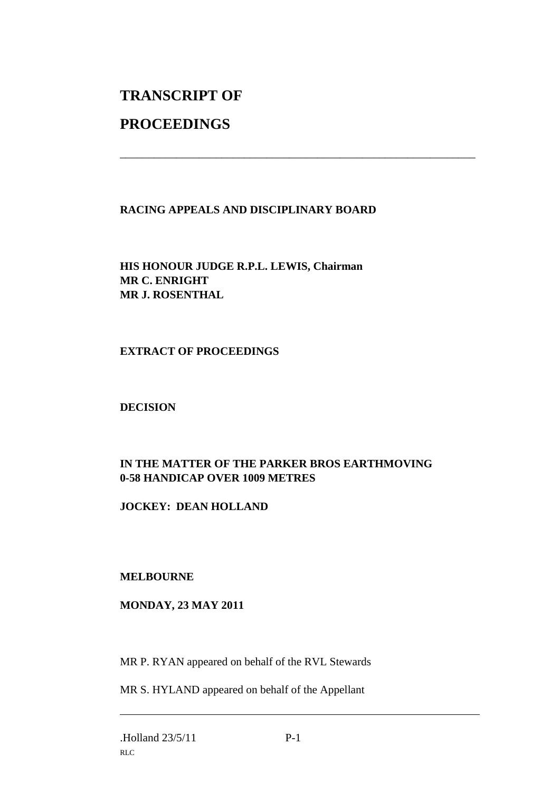# **TRANSCRIPT OF**

# **PROCEEDINGS**

# **RACING APPEALS AND DISCIPLINARY BOARD**

\_\_\_\_\_\_\_\_\_\_\_\_\_\_\_\_\_\_\_\_\_\_\_\_\_\_\_\_\_\_\_\_\_\_\_\_\_\_\_\_\_\_\_\_\_\_\_\_\_\_\_\_\_\_\_\_\_\_\_\_\_\_\_

**HIS HONOUR JUDGE R.P.L. LEWIS, Chairman MR C. ENRIGHT MR J. ROSENTHAL**

## **EXTRACT OF PROCEEDINGS**

# **DECISION**

# **IN THE MATTER OF THE PARKER BROS EARTHMOVING 0-58 HANDICAP OVER 1009 METRES**

### **JOCKEY: DEAN HOLLAND**

### **MELBOURNE**

### **MONDAY, 23 MAY 2011**

MR P. RYAN appeared on behalf of the RVL Stewards

MR S. HYLAND appeared on behalf of the Appellant